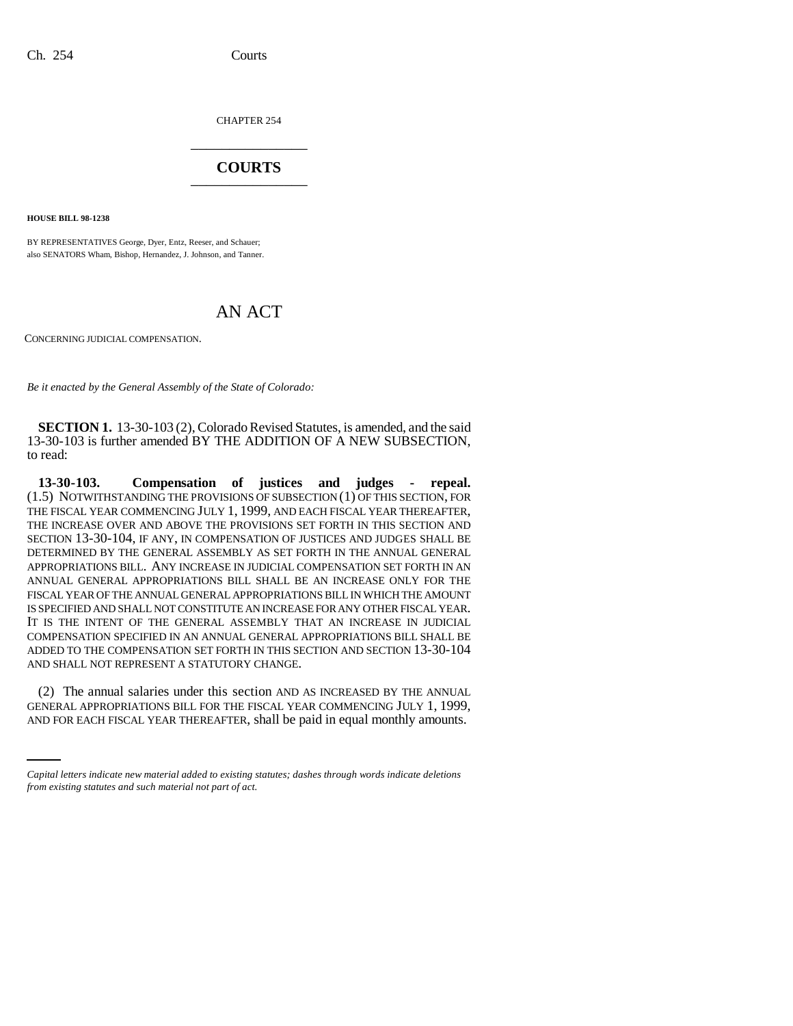CHAPTER 254 \_\_\_\_\_\_\_\_\_\_\_\_\_\_\_

## **COURTS** \_\_\_\_\_\_\_\_\_\_\_\_\_\_\_

**HOUSE BILL 98-1238**

BY REPRESENTATIVES George, Dyer, Entz, Reeser, and Schauer; also SENATORS Wham, Bishop, Hernandez, J. Johnson, and Tanner.

## AN ACT

CONCERNING JUDICIAL COMPENSATION.

*Be it enacted by the General Assembly of the State of Colorado:*

**SECTION 1.** 13-30-103 (2), Colorado Revised Statutes, is amended, and the said 13-30-103 is further amended BY THE ADDITION OF A NEW SUBSECTION, to read:

**13-30-103. Compensation of justices and judges - repeal.** (1.5) NOTWITHSTANDING THE PROVISIONS OF SUBSECTION (1) OF THIS SECTION, FOR THE FISCAL YEAR COMMENCING JULY 1, 1999, AND EACH FISCAL YEAR THEREAFTER, THE INCREASE OVER AND ABOVE THE PROVISIONS SET FORTH IN THIS SECTION AND SECTION 13-30-104, IF ANY, IN COMPENSATION OF JUSTICES AND JUDGES SHALL BE DETERMINED BY THE GENERAL ASSEMBLY AS SET FORTH IN THE ANNUAL GENERAL APPROPRIATIONS BILL. ANY INCREASE IN JUDICIAL COMPENSATION SET FORTH IN AN ANNUAL GENERAL APPROPRIATIONS BILL SHALL BE AN INCREASE ONLY FOR THE FISCAL YEAR OF THE ANNUAL GENERAL APPROPRIATIONS BILL IN WHICH THE AMOUNT IS SPECIFIED AND SHALL NOT CONSTITUTE AN INCREASE FOR ANY OTHER FISCAL YEAR. IT IS THE INTENT OF THE GENERAL ASSEMBLY THAT AN INCREASE IN JUDICIAL COMPENSATION SPECIFIED IN AN ANNUAL GENERAL APPROPRIATIONS BILL SHALL BE ADDED TO THE COMPENSATION SET FORTH IN THIS SECTION AND SECTION 13-30-104 AND SHALL NOT REPRESENT A STATUTORY CHANGE.

(2) The annual salaries under this section AND AS INCREASED BY THE ANNUAL GENERAL APPROPRIATIONS BILL FOR THE FISCAL YEAR COMMENCING JULY 1, 1999, AND FOR EACH FISCAL YEAR THEREAFTER, shall be paid in equal monthly amounts.

*Capital letters indicate new material added to existing statutes; dashes through words indicate deletions from existing statutes and such material not part of act.*